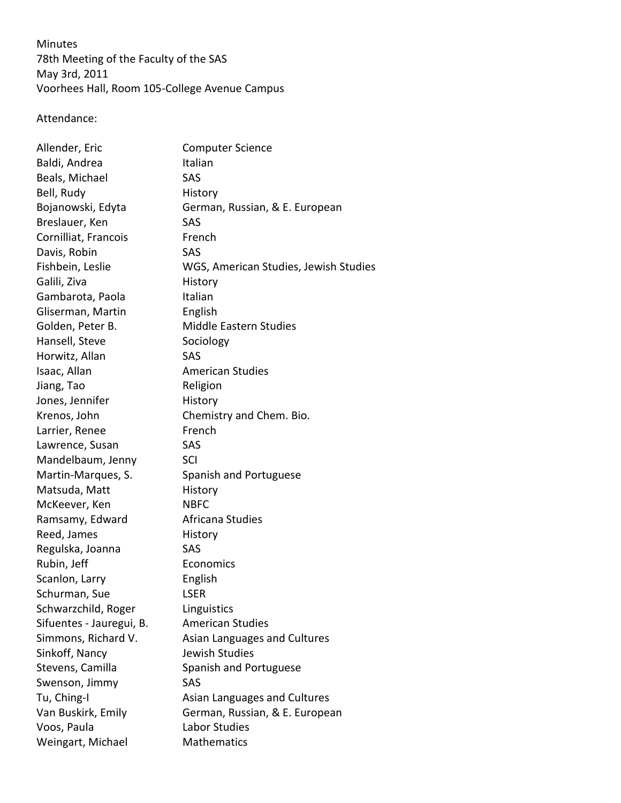Minutes

78th Meeting of the Faculty of the SAS May 3rd, 2011 Voorhees Hall, Room 105-College Avenue Campus

Attendance:

| Allender, Eric           | <b>Computer Science</b>               |
|--------------------------|---------------------------------------|
| Baldi, Andrea            | Italian                               |
| Beals, Michael           | SAS                                   |
| Bell, Rudy               | History                               |
| Bojanowski, Edyta        | German, Russian, & E. European        |
| Breslauer, Ken           | SAS                                   |
| Cornilliat, Francois     | French                                |
| Davis, Robin             | SAS                                   |
| Fishbein, Leslie         | WGS, American Studies, Jewish Studies |
| Galili, Ziva             | History                               |
| Gambarota, Paola         | Italian                               |
| Gliserman, Martin        | English                               |
| Golden, Peter B.         | <b>Middle Eastern Studies</b>         |
| Hansell, Steve           | Sociology                             |
| Horwitz, Allan           | SAS                                   |
| Isaac, Allan             | <b>American Studies</b>               |
| Jiang, Tao               | Religion                              |
| Jones, Jennifer          | History                               |
| Krenos, John             | Chemistry and Chem. Bio.              |
| Larrier, Renee           | French                                |
| Lawrence, Susan          | SAS                                   |
| Mandelbaum, Jenny        | SCI                                   |
| Martin-Marques, S.       | Spanish and Portuguese                |
| Matsuda, Matt            | History                               |
| McKeever, Ken            | <b>NBFC</b>                           |
| Ramsamy, Edward          | Africana Studies                      |
| Reed, James              | History                               |
| Regulska, Joanna         | SAS                                   |
| Rubin, Jeff              | Economics                             |
| Scanlon, Larry           | English                               |
| Schurman, Sue            | <b>LSER</b>                           |
| Schwarzchild, Roger      | Linguistics                           |
| Sifuentes - Jauregui, B. | <b>American Studies</b>               |
| Simmons, Richard V.      | Asian Languages and Cultures          |
| Sinkoff, Nancy           | <b>Jewish Studies</b>                 |
| Stevens, Camilla         | Spanish and Portuguese                |
| Swenson, Jimmy           | SAS                                   |
| Tu, Ching-I              | Asian Languages and Cultures          |
| Van Buskirk, Emily       | German, Russian, & E. European        |
| Voos, Paula              | Labor Studies                         |
| Weingart, Michael        | <b>Mathematics</b>                    |